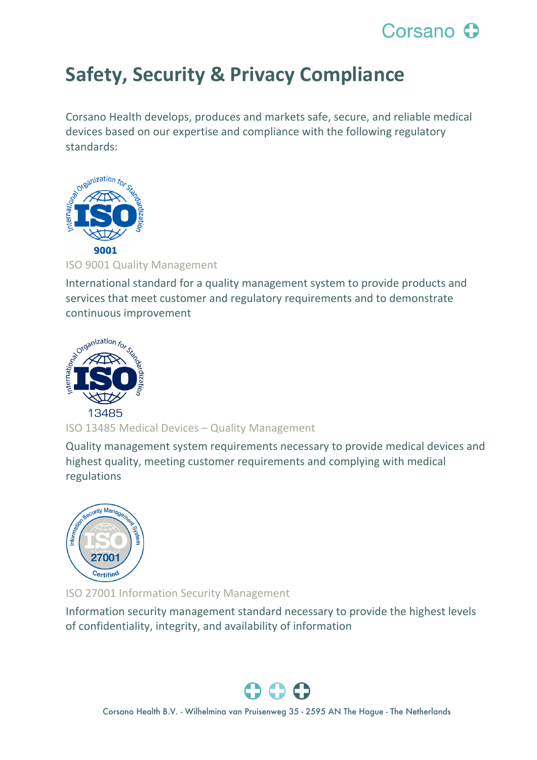## Corsano C

## **Safety, Security & Privacy Compliance**

Corsano Health develops, produces and markets safe, secure, and reliable medical devices based on our expertise and compliance with the following regulatory standards:



ISO 9001 Quality Management

International standard for a quality management system to provide products and services that meet customer and regulatory requirements and to demonstrate continuous improvement



ISO 13485 Medical Devices – Quality Management

Quality management system requirements necessary to provide medical devices and highest quality, meeting customer requirements and complying with medical regulations



ISO 27001 Information Security Management

Information security management standard necessary to provide the highest levels of confidentiality, integrity, and availability of information

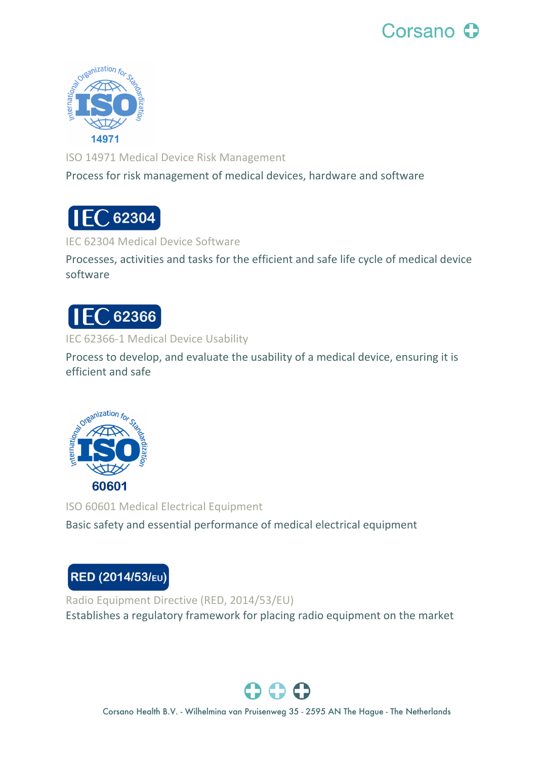

ISO 14971 Medical Device Risk Management

Process for risk management of medical devices, hardware and software

**EC 62304** 

IEC 62304 Medical Device Software

Processes, activities and tasks for the efficient and safe life cycle of medical device software



IEC 62366-1 Medical Device Usability

Process to develop, and evaluate the usability of a medical device, ensuring it is efficient and safe



ISO 60601 Medical Electrical Equipment Basic safety and essential performance of medical electrical equipment



Radio Equipment Directive (RED, 2014/53/EU) Establishes a regulatory framework for placing radio equipment on the market

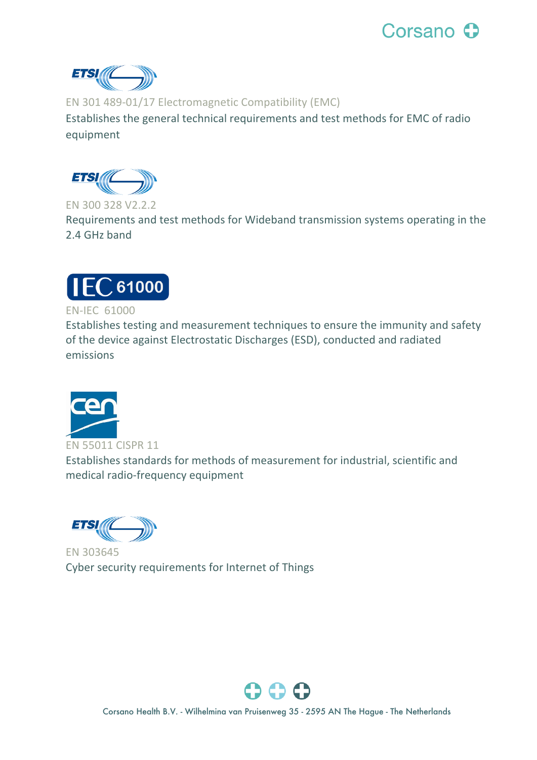



EN 301 489-01/17 Electromagnetic Compatibility (EMC)

Establishes the general technical requirements and test methods for EMC of radio equipment



EN 300 328 V2.2.2

Requirements and test methods for Wideband transmission systems operating in the 2.4 GHz band



## EN-IEC 61000

Establishes testing and measurement techniques to ensure the immunity and safety of the device against Electrostatic Discharges (ESD), conducted and radiated emissions



EN 55011 CISPR 11 Establishes standards for methods of measurement for industrial, scientific and medical radio-frequency equipment

ETSI (

EN 303645 Cyber security requirements for Internet of Things